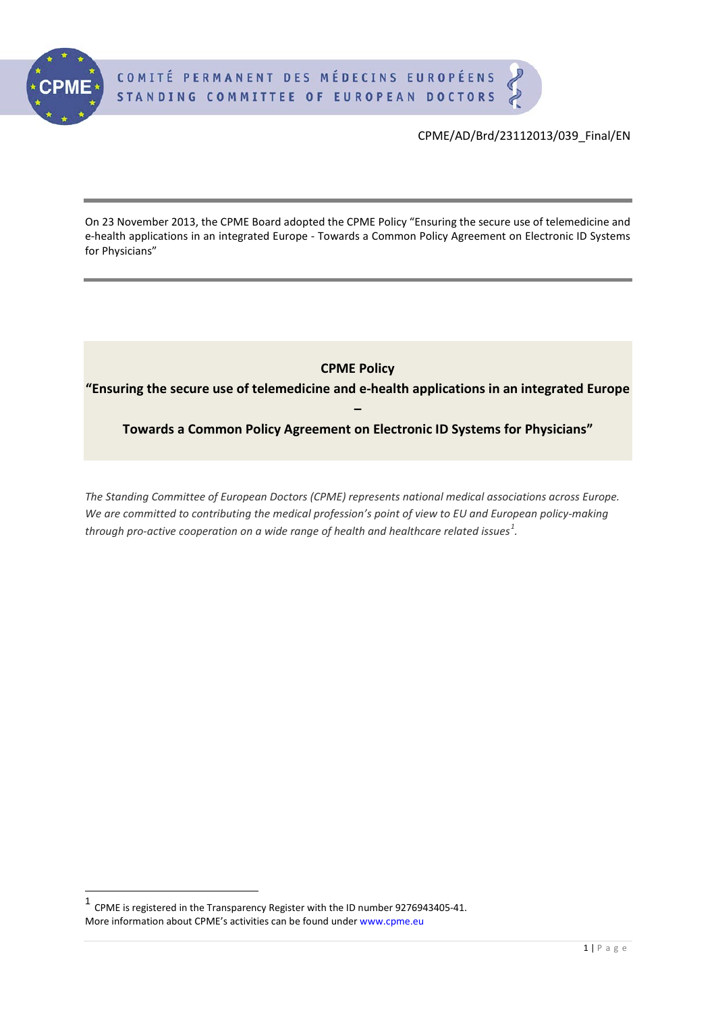

On 23 November 2013, the CPME Board adopted the CPME Policy "Ensuring the secure use of telemedicine and e-health applications in an integrated Europe - Towards a Common Policy Agreement on Electronic ID Systems for Physicians"

**CPME Policy** 

**"Ensuring the secure use of telemedicine and e-health applications in an integrated Europe** 

**– Towards a Common Policy Agreement on Electronic ID Systems for Physicians"**

*The Standing Committee of European Doctors (CPME) represents national medical associations across Europe. We are committed to contributing the medical profession's point of view to EU and European policy-making through pro-active cooperation on a wide range of health and healthcare related issues[1](#page-0-0) .*

<span id="page-0-1"></span><span id="page-0-0"></span><sup>1</sup> CPME is registered in the Transparency Register with the ID number 9276943405-41. More information about CPME's activities can be found under www.cpme.eu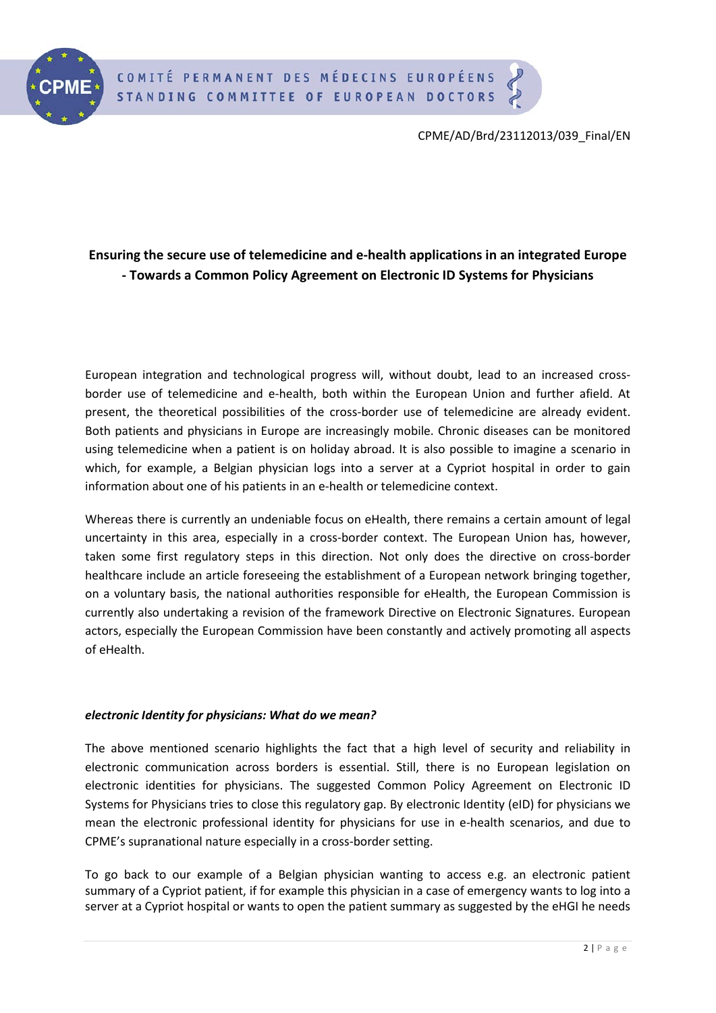

# **Ensuring the secure use of telemedicine and e-health applications in an integrated Europe - Towards a Common Policy Agreement on Electronic ID Systems for Physicians**

European integration and technological progress will, without doubt, lead to an increased crossborder use of telemedicine and e-health, both within the European Union and further afield. At present, the theoretical possibilities of the cross-border use of telemedicine are already evident. Both patients and physicians in Europe are increasingly mobile. Chronic diseases can be monitored using telemedicine when a patient is on holiday abroad. It is also possible to imagine a scenario in which, for example, a Belgian physician logs into a server at a Cypriot hospital in order to gain information about one of his patients in an e-health or telemedicine context.

Whereas there is currently an undeniable focus on eHealth, there remains a certain amount of legal uncertainty in this area, especially in a cross-border context. The European Union has, however, taken some first regulatory steps in this direction. Not only does the directive on cross-border healthcare include an article foreseeing the establishment of a European network bringing together, on a voluntary basis, the national authorities responsible for eHealth, the European Commission is currently also undertaking a revision of the framework Directive on Electronic Signatures. European actors, especially the European Commission have been constantly and actively promoting all aspects of eHealth.

# *electronic Identity for physicians: What do we mean?*

The above mentioned scenario highlights the fact that a high level of security and reliability in electronic communication across borders is essential. Still, there is no European legislation on electronic identities for physicians. The suggested Common Policy Agreement on Electronic ID Systems for Physicians tries to close this regulatory gap. By electronic Identity (eID) for physicians we mean the electronic professional identity for physicians for use in e-health scenarios, and due to CPME's supranational nature especially in a cross-border setting.

To go back to our example of a Belgian physician wanting to access e.g. an electronic patient summary of a Cypriot patient, if for example this physician in a case of emergency wants to log into a server at a Cypriot hospital or wants to open the patient summary as suggested by the eHGI he needs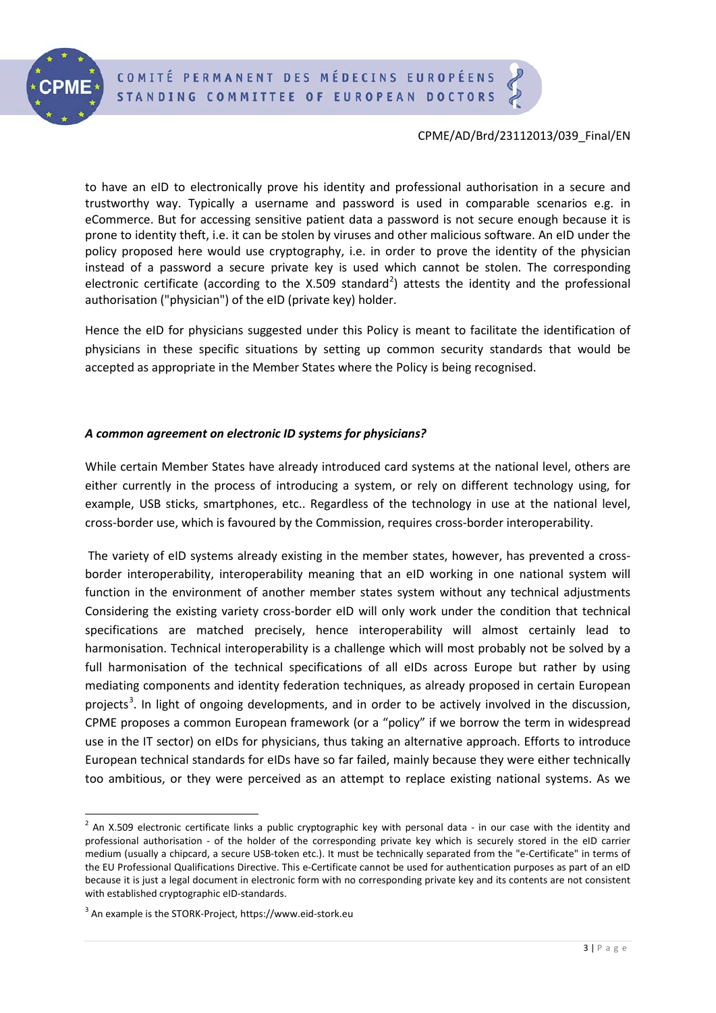

to have an eID to electronically prove his identity and professional authorisation in a secure and trustworthy way. Typically a username and password is used in comparable scenarios e.g. in eCommerce. But for accessing sensitive patient data a password is not secure enough because it is prone to identity theft, i.e. it can be stolen by viruses and other malicious software. An eID under the policy proposed here would use cryptography, i.e. in order to prove the identity of the physician instead of a password a secure private key is used which cannot be stolen. The corresponding electronic certificate (according to the X.509 standard<sup>[2](#page-0-1)</sup>) attests the identity and the professional authorisation ("physician") of the eID (private key) holder.

Hence the eID for physicians suggested under this Policy is meant to facilitate the identification of physicians in these specific situations by setting up common security standards that would be accepted as appropriate in the Member States where the Policy is being recognised.

## *A common agreement on electronic ID systems for physicians?*

While certain Member States have already introduced card systems at the national level, others are either currently in the process of introducing a system, or rely on different technology using, for example, USB sticks, smartphones, etc.. Regardless of the technology in use at the national level, cross-border use, which is favoured by the Commission, requires cross-border interoperability.

The variety of eID systems already existing in the member states, however, has prevented a crossborder interoperability, interoperability meaning that an eID working in one national system will function in the environment of another member states system without any technical adjustments Considering the existing variety cross-border eID will only work under the condition that technical specifications are matched precisely, hence interoperability will almost certainly lead to harmonisation. Technical interoperability is a challenge which will most probably not be solved by a full harmonisation of the technical specifications of all eIDs across Europe but rather by using mediating components and identity federation techniques, as already proposed in certain European projects<sup>[3](#page-2-0)</sup>. In light of ongoing developments, and in order to be actively involved in the discussion, CPME proposes a common European framework (or a "policy" if we borrow the term in widespread use in the IT sector) on eIDs for physicians, thus taking an alternative approach. Efforts to introduce European technical standards for eIDs have so far failed, mainly because they were either technically too ambitious, or they were perceived as an attempt to replace existing national systems. As we

<span id="page-2-1"></span> $2$  An X.509 electronic certificate links a public cryptographic key with personal data - in our case with the identity and professional authorisation - of the holder of the corresponding private key which is securely stored in the eID carrier medium (usually a chipcard, a secure USB-token etc.). It must be technically separated from the "e-Certificate" in terms of the EU Professional Qualifications Directive. This e-Certificate cannot be used for authentication purposes as part of an eID because it is just a legal document in electronic form with no corresponding private key and its contents are not consistent with established cryptographic eID-standards.

<span id="page-2-0"></span><sup>3</sup> An example is the STORK-Project, https://www.eid-stork.eu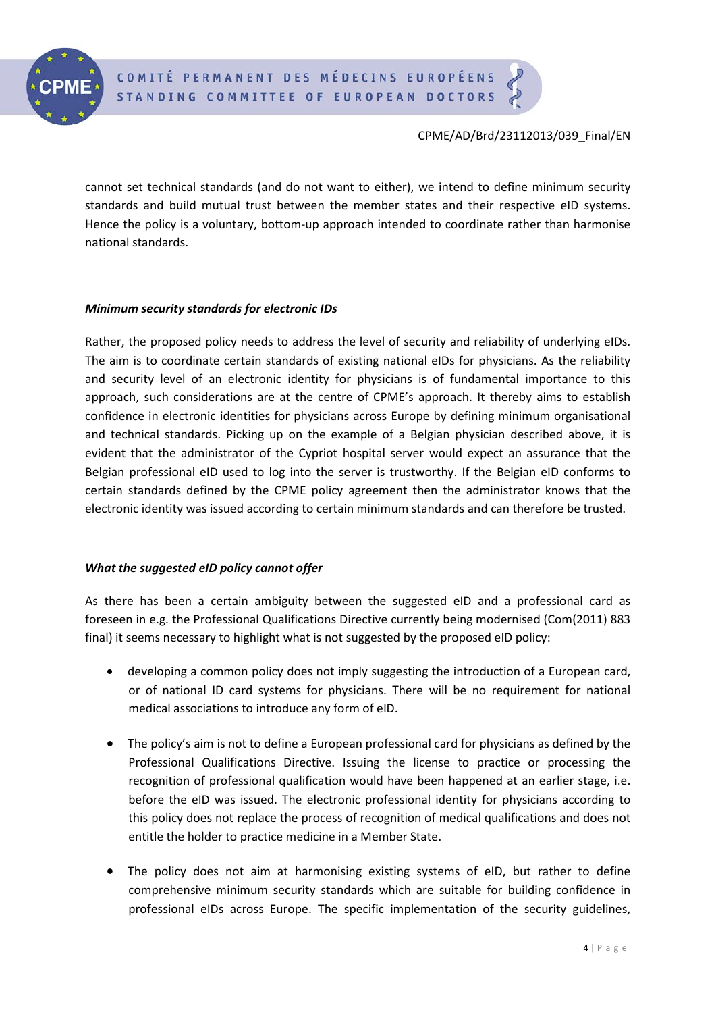

cannot set technical standards (and do not want to either), we intend to define minimum security standards and build mutual trust between the member states and their respective eID systems. Hence the policy is a voluntary, bottom-up approach intended to coordinate rather than harmonise national standards.

### *Minimum security standards for electronic IDs*

Rather, the proposed policy needs to address the level of security and reliability of underlying eIDs. The aim is to coordinate certain standards of existing national eIDs for physicians. As the reliability and security level of an electronic identity for physicians is of fundamental importance to this approach, such considerations are at the centre of CPME's approach. It thereby aims to establish confidence in electronic identities for physicians across Europe by defining minimum organisational and technical standards. Picking up on the example of a Belgian physician described above, it is evident that the administrator of the Cypriot hospital server would expect an assurance that the Belgian professional eID used to log into the server is trustworthy. If the Belgian eID conforms to certain standards defined by the CPME policy agreement then the administrator knows that the electronic identity was issued according to certain minimum standards and can therefore be trusted.

### *What the suggested eID policy cannot offer*

As there has been a certain ambiguity between the suggested eID and a professional card as foreseen in e.g. the Professional Qualifications Directive currently being modernised (Com(2011) 883 final) it seems necessary to highlight what is not suggested by the proposed eID policy:

- developing a common policy does not imply suggesting the introduction of a European card, or of national ID card systems for physicians. There will be no requirement for national medical associations to introduce any form of eID.
- The policy's aim is not to define a European professional card for physicians as defined by the Professional Qualifications Directive. Issuing the license to practice or processing the recognition of professional qualification would have been happened at an earlier stage, i.e. before the eID was issued. The electronic professional identity for physicians according to this policy does not replace the process of recognition of medical qualifications and does not entitle the holder to practice medicine in a Member State.
- The policy does not aim at harmonising existing systems of eID, but rather to define comprehensive minimum security standards which are suitable for building confidence in professional eIDs across Europe. The specific implementation of the security guidelines,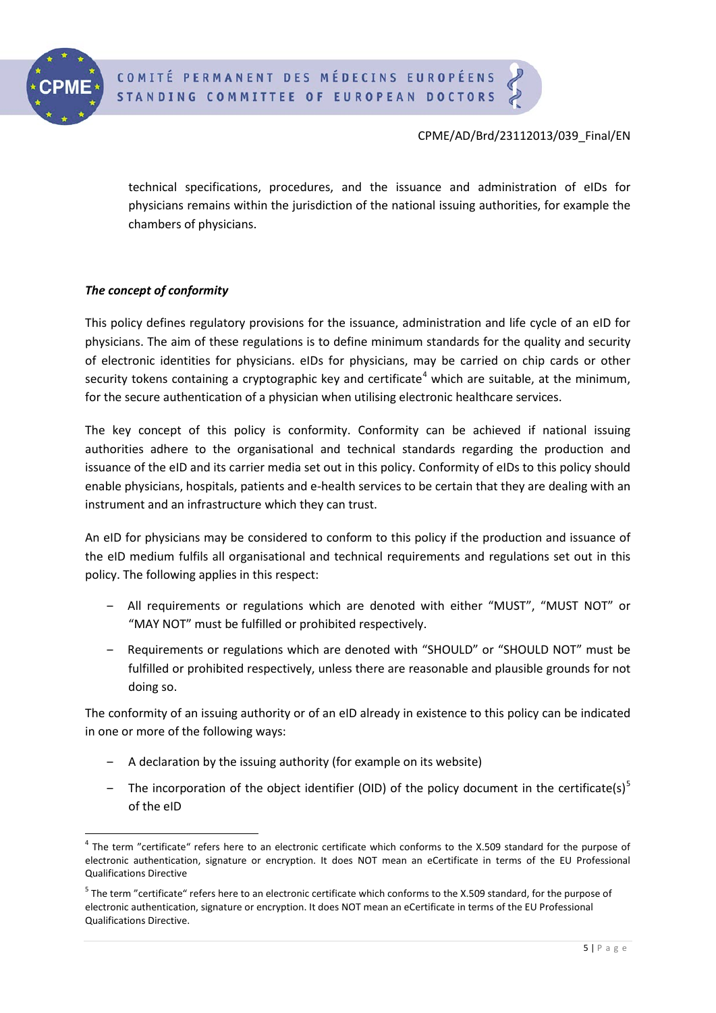

technical specifications, procedures, and the issuance and administration of eIDs for physicians remains within the jurisdiction of the national issuing authorities, for example the chambers of physicians.

## *The concept of conformity*

This policy defines regulatory provisions for the issuance, administration and life cycle of an eID for physicians. The aim of these regulations is to define minimum standards for the quality and security of electronic identities for physicians. eIDs for physicians, may be carried on chip cards or other security tokens containing a cryptographic key and certificate<sup>[4](#page-2-1)</sup> which are suitable, at the minimum, for the secure authentication of a physician when utilising electronic healthcare services.

The key concept of this policy is conformity. Conformity can be achieved if national issuing authorities adhere to the organisational and technical standards regarding the production and issuance of the eID and its carrier media set out in this policy. Conformity of eIDs to this policy should enable physicians, hospitals, patients and e-health services to be certain that they are dealing with an instrument and an infrastructure which they can trust.

An eID for physicians may be considered to conform to this policy if the production and issuance of the eID medium fulfils all organisational and technical requirements and regulations set out in this policy. The following applies in this respect:

- ‒ All requirements or regulations which are denoted with either "MUST", "MUST NOT" or "MAY NOT" must be fulfilled or prohibited respectively.
- Requirements or regulations which are denoted with "SHOULD" or "SHOULD NOT" must be fulfilled or prohibited respectively, unless there are reasonable and plausible grounds for not doing so.

The conformity of an issuing authority or of an eID already in existence to this policy can be indicated in one or more of the following ways:

- ‒ A declaration by the issuing authority (for example on its website)
- The incorporation of the object identifier (OID) of the policy document in the certificate(s)<sup>[5](#page-4-0)</sup> of the eID

<sup>&</sup>lt;sup>4</sup> The term "certificate" refers here to an electronic certificate which conforms to the X.509 standard for the purpose of electronic authentication, signature or encryption. It does NOT mean an eCertificate in terms of the EU Professional Qualifications Directive

<span id="page-4-1"></span><span id="page-4-0"></span><sup>&</sup>lt;sup>5</sup> The term "certificate" refers here to an electronic certificate which conforms to the X.509 standard, for the purpose of electronic authentication, signature or encryption. It does NOT mean an eCertificate in terms of the EU Professional Qualifications Directive.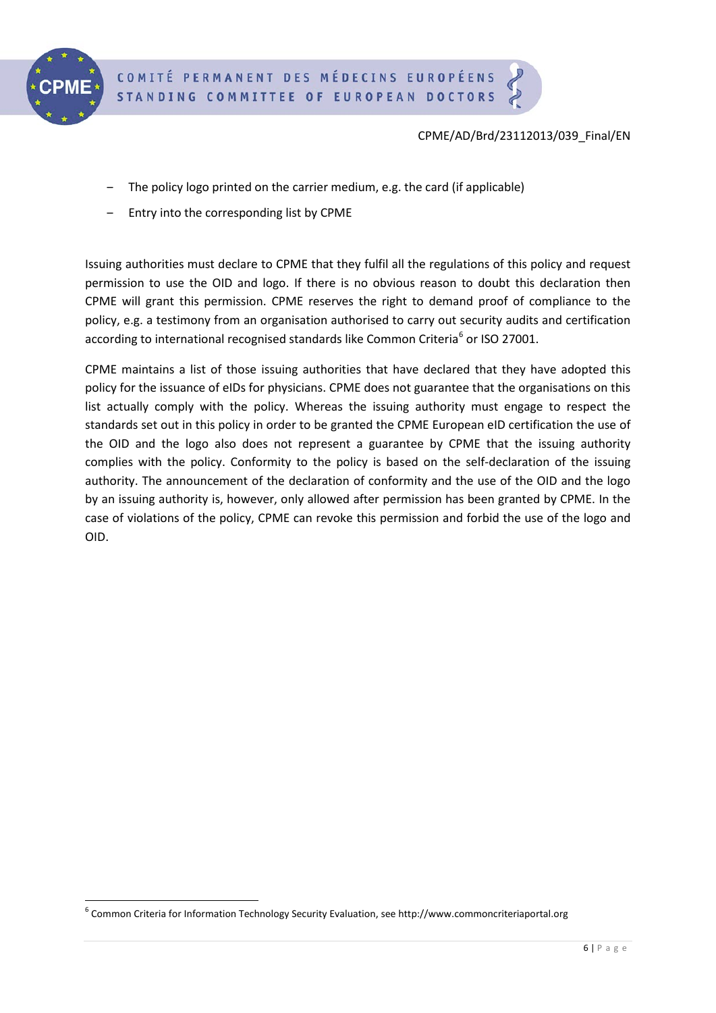

- ‒ The policy logo printed on the carrier medium, e.g. the card (if applicable)
- Entry into the corresponding list by CPME

Issuing authorities must declare to CPME that they fulfil all the regulations of this policy and request permission to use the OID and logo. If there is no obvious reason to doubt this declaration then CPME will grant this permission. CPME reserves the right to demand proof of compliance to the policy, e.g. a testimony from an organisation authorised to carry out security audits and certification according to international recognised standards like Common Criteria<sup>[6](#page-4-1)</sup> or ISO 27001.

CPME maintains a list of those issuing authorities that have declared that they have adopted this policy for the issuance of eIDs for physicians. CPME does not guarantee that the organisations on this list actually comply with the policy. Whereas the issuing authority must engage to respect the standards set out in this policy in order to be granted the CPME European eID certification the use of the OID and the logo also does not represent a guarantee by CPME that the issuing authority complies with the policy. Conformity to the policy is based on the self-declaration of the issuing authority. The announcement of the declaration of conformity and the use of the OID and the logo by an issuing authority is, however, only allowed after permission has been granted by CPME. In the case of violations of the policy, CPME can revoke this permission and forbid the use of the logo and OID.

<span id="page-5-0"></span> <sup>6</sup> Common Criteria for Information Technology Security Evaluation, see http://www.commoncriteriaportal.org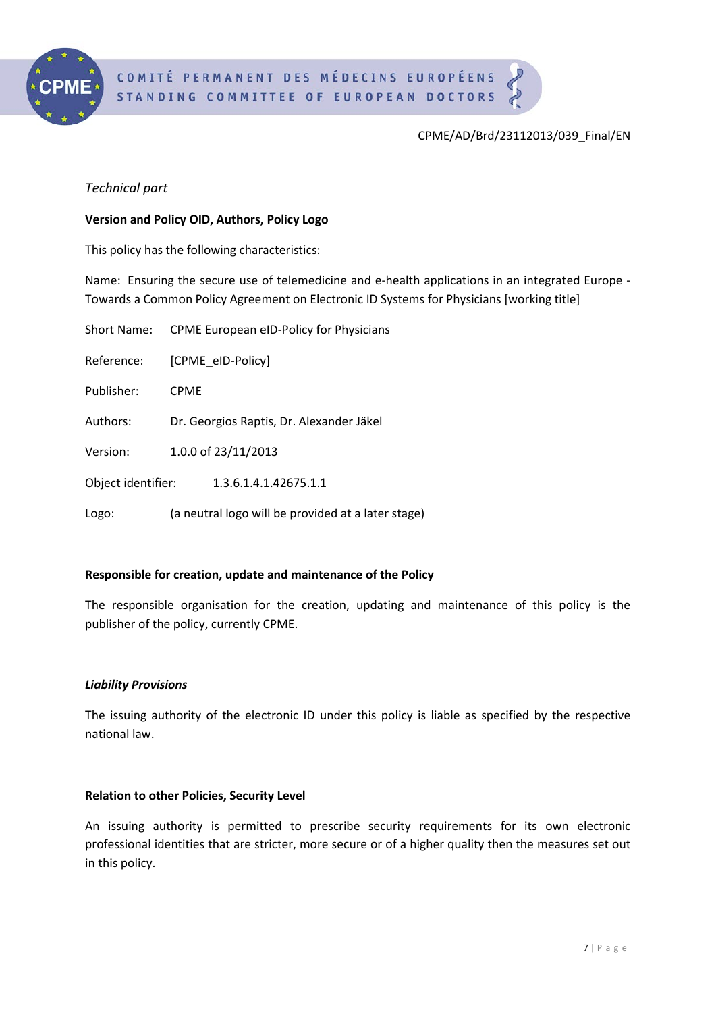

# *Technical part*

### **Version and Policy OID, Authors, Policy Logo**

This policy has the following characteristics:

Name: Ensuring the secure use of telemedicine and e-health applications in an integrated Europe - Towards a Common Policy Agreement on Electronic ID Systems for Physicians [working title]

| Short Name:        | CPME European eID-Policy for Physicians            |  |
|--------------------|----------------------------------------------------|--|
| Reference:         | [CPME eID-Policy]                                  |  |
| Publisher:         | <b>CPMF</b>                                        |  |
| Authors:           | Dr. Georgios Raptis, Dr. Alexander Jäkel           |  |
| Version:           | 1.0.0 of 23/11/2013                                |  |
| Object identifier: | 1.3.6.1.4.1.42675.1.1                              |  |
| Logo:              | (a neutral logo will be provided at a later stage) |  |

### **Responsible for creation, update and maintenance of the Policy**

The responsible organisation for the creation, updating and maintenance of this policy is the publisher of the policy, currently CPME.

### *Liability Provisions*

The issuing authority of the electronic ID under this policy is liable as specified by the respective national law.

### **Relation to other Policies, Security Level**

An issuing authority is permitted to prescribe security requirements for its own electronic professional identities that are stricter, more secure or of a higher quality then the measures set out in this policy.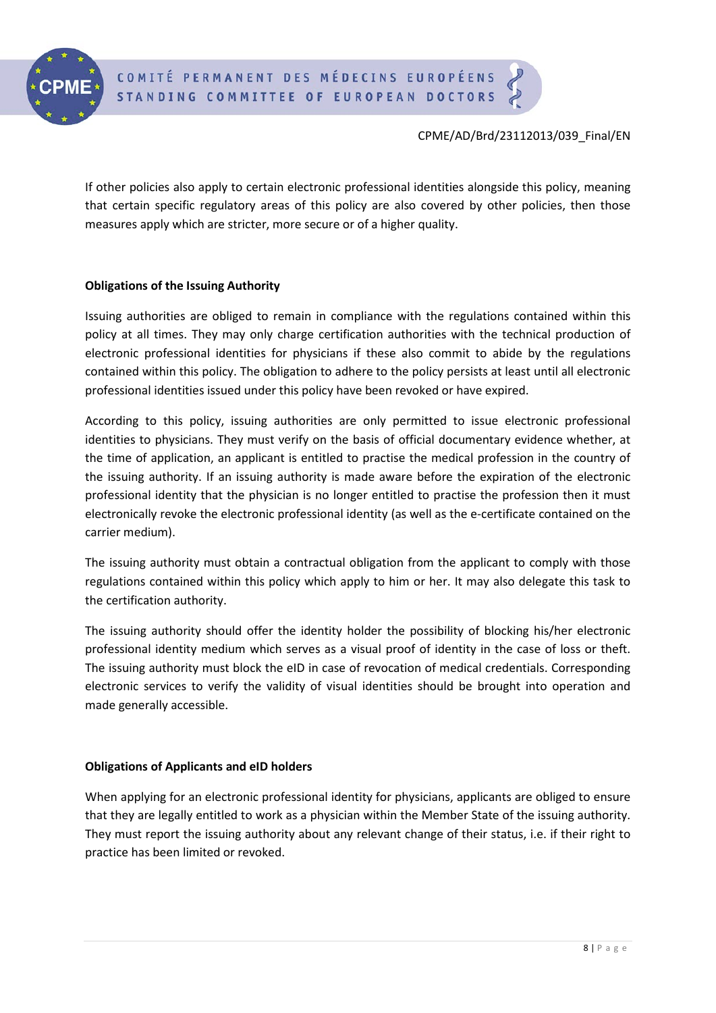

If other policies also apply to certain electronic professional identities alongside this policy, meaning that certain specific regulatory areas of this policy are also covered by other policies, then those measures apply which are stricter, more secure or of a higher quality.

### **Obligations of the Issuing Authority**

Issuing authorities are obliged to remain in compliance with the regulations contained within this policy at all times. They may only charge certification authorities with the technical production of electronic professional identities for physicians if these also commit to abide by the regulations contained within this policy. The obligation to adhere to the policy persists at least until all electronic professional identities issued under this policy have been revoked or have expired.

According to this policy, issuing authorities are only permitted to issue electronic professional identities to physicians. They must verify on the basis of official documentary evidence whether, at the time of application, an applicant is entitled to practise the medical profession in the country of the issuing authority. If an issuing authority is made aware before the expiration of the electronic professional identity that the physician is no longer entitled to practise the profession then it must electronically revoke the electronic professional identity (as well as the e-certificate contained on the carrier medium).

The issuing authority must obtain a contractual obligation from the applicant to comply with those regulations contained within this policy which apply to him or her. It may also delegate this task to the certification authority.

The issuing authority should offer the identity holder the possibility of blocking his/her electronic professional identity medium which serves as a visual proof of identity in the case of loss or theft. The issuing authority must block the eID in case of revocation of medical credentials. Corresponding electronic services to verify the validity of visual identities should be brought into operation and made generally accessible.

### **Obligations of Applicants and eID holders**

When applying for an electronic professional identity for physicians, applicants are obliged to ensure that they are legally entitled to work as a physician within the Member State of the issuing authority. They must report the issuing authority about any relevant change of their status, i.e. if their right to practice has been limited or revoked.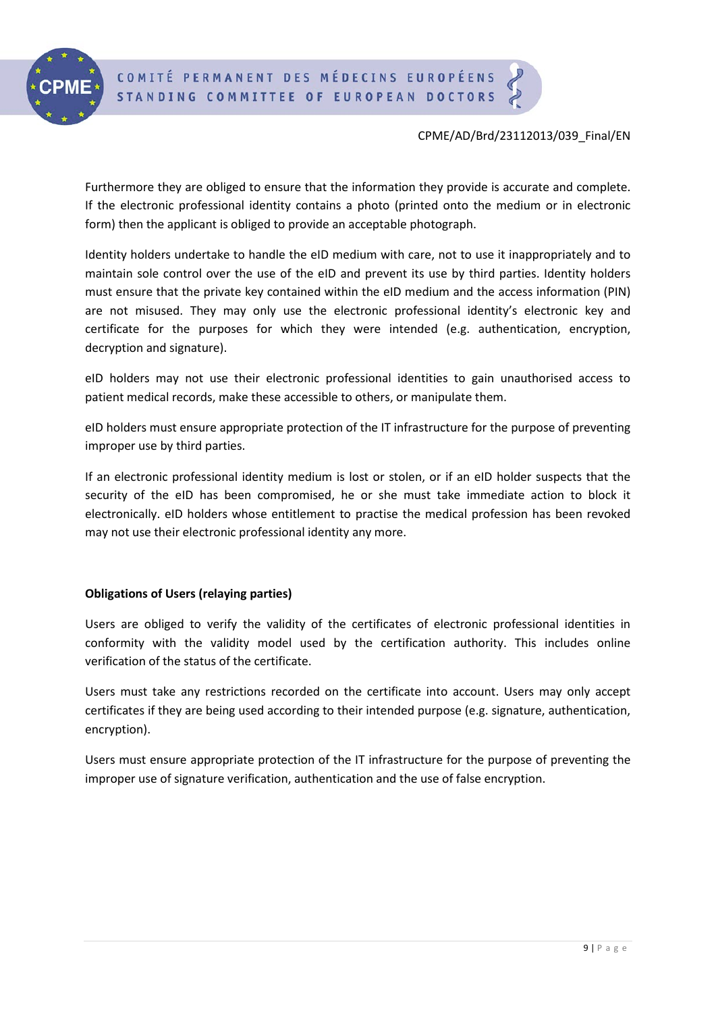

Furthermore they are obliged to ensure that the information they provide is accurate and complete. If the electronic professional identity contains a photo (printed onto the medium or in electronic form) then the applicant is obliged to provide an acceptable photograph.

Identity holders undertake to handle the eID medium with care, not to use it inappropriately and to maintain sole control over the use of the eID and prevent its use by third parties. Identity holders must ensure that the private key contained within the eID medium and the access information (PIN) are not misused. They may only use the electronic professional identity's electronic key and certificate for the purposes for which they were intended (e.g. authentication, encryption, decryption and signature).

eID holders may not use their electronic professional identities to gain unauthorised access to patient medical records, make these accessible to others, or manipulate them.

eID holders must ensure appropriate protection of the IT infrastructure for the purpose of preventing improper use by third parties.

If an electronic professional identity medium is lost or stolen, or if an eID holder suspects that the security of the eID has been compromised, he or she must take immediate action to block it electronically. eID holders whose entitlement to practise the medical profession has been revoked may not use their electronic professional identity any more.

### **Obligations of Users (relaying parties)**

Users are obliged to verify the validity of the certificates of electronic professional identities in conformity with the validity model used by the certification authority. This includes online verification of the status of the certificate.

Users must take any restrictions recorded on the certificate into account. Users may only accept certificates if they are being used according to their intended purpose (e.g. signature, authentication, encryption).

Users must ensure appropriate protection of the IT infrastructure for the purpose of preventing the improper use of signature verification, authentication and the use of false encryption.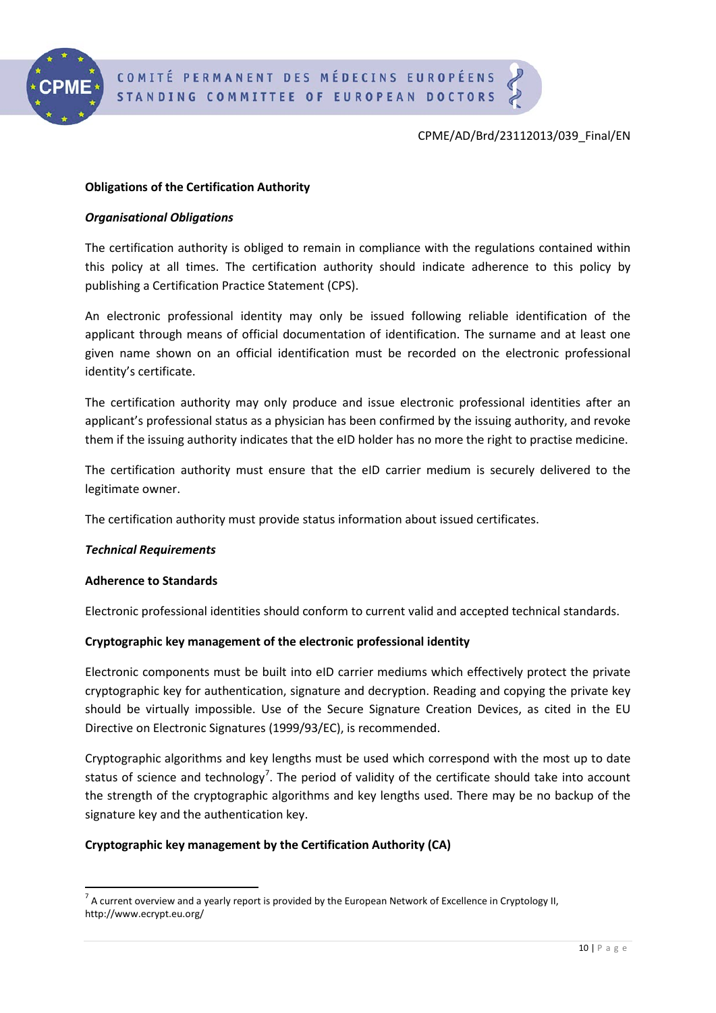

## **Obligations of the Certification Authority**

### *Organisational Obligations*

The certification authority is obliged to remain in compliance with the regulations contained within this policy at all times. The certification authority should indicate adherence to this policy by publishing a Certification Practice Statement (CPS).

An electronic professional identity may only be issued following reliable identification of the applicant through means of official documentation of identification. The surname and at least one given name shown on an official identification must be recorded on the electronic professional identity's certificate.

The certification authority may only produce and issue electronic professional identities after an applicant's professional status as a physician has been confirmed by the issuing authority, and revoke them if the issuing authority indicates that the eID holder has no more the right to practise medicine.

The certification authority must ensure that the eID carrier medium is securely delivered to the legitimate owner.

The certification authority must provide status information about issued certificates.

### *Technical Requirements*

### **Adherence to Standards**

Electronic professional identities should conform to current valid and accepted technical standards.

### **Cryptographic key management of the electronic professional identity**

Electronic components must be built into eID carrier mediums which effectively protect the private cryptographic key for authentication, signature and decryption. Reading and copying the private key should be virtually impossible. Use of the Secure Signature Creation Devices, as cited in the EU Directive on Electronic Signatures (1999/93/EC), is recommended.

Cryptographic algorithms and key lengths must be used which correspond with the most up to date status of science and technology<sup>[7](#page-5-0)</sup>. The period of validity of the certificate should take into account the strength of the cryptographic algorithms and key lengths used. There may be no backup of the signature key and the authentication key.

### **Cryptographic key management by the Certification Authority (CA)**

<span id="page-9-0"></span> $<sup>7</sup>$  A current overview and a yearly report is provided by the European Network of Excellence in Cryptology II,</sup> http://www.ecrypt.eu.org/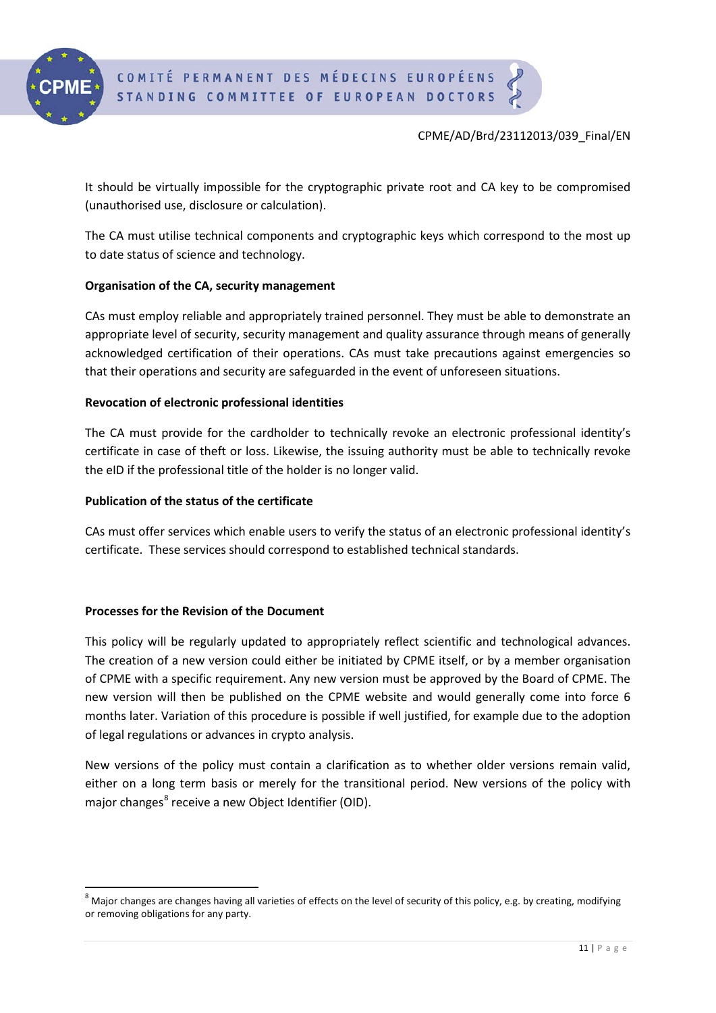

It should be virtually impossible for the cryptographic private root and CA key to be compromised (unauthorised use, disclosure or calculation).

The CA must utilise technical components and cryptographic keys which correspond to the most up to date status of science and technology.

## **Organisation of the CA, security management**

CAs must employ reliable and appropriately trained personnel. They must be able to demonstrate an appropriate level of security, security management and quality assurance through means of generally acknowledged certification of their operations. CAs must take precautions against emergencies so that their operations and security are safeguarded in the event of unforeseen situations.

## **Revocation of electronic professional identities**

The CA must provide for the cardholder to technically revoke an electronic professional identity's certificate in case of theft or loss. Likewise, the issuing authority must be able to technically revoke the eID if the professional title of the holder is no longer valid.

## **Publication of the status of the certificate**

CAs must offer services which enable users to verify the status of an electronic professional identity's certificate. These services should correspond to established technical standards.

# **Processes for the Revision of the Document**

This policy will be regularly updated to appropriately reflect scientific and technological advances. The creation of a new version could either be initiated by CPME itself, or by a member organisation of CPME with a specific requirement. Any new version must be approved by the Board of CPME. The new version will then be published on the CPME website and would generally come into force 6 months later. Variation of this procedure is possible if well justified, for example due to the adoption of legal regulations or advances in crypto analysis.

New versions of the policy must contain a clarification as to whether older versions remain valid, either on a long term basis or merely for the transitional period. New versions of the policy with major changes<sup>[8](#page-9-0)</sup> receive a new Object Identifier (OID).

 $8$  Major changes are changes having all varieties of effects on the level of security of this policy, e.g. by creating, modifying or removing obligations for any party.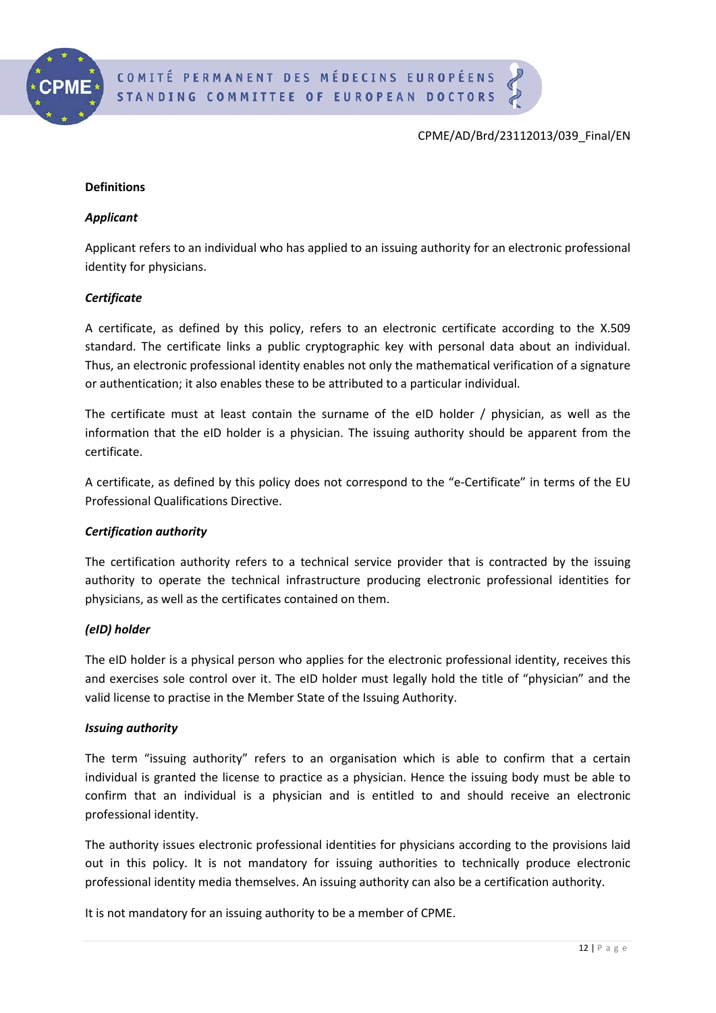

#### **Definitions**

#### *Applicant*

Applicant refers to an individual who has applied to an issuing authority for an electronic professional identity for physicians.

#### *Certificate*

A certificate, as defined by this policy, refers to an electronic certificate according to the X.509 standard. The certificate links a public cryptographic key with personal data about an individual. Thus, an electronic professional identity enables not only the mathematical verification of a signature or authentication; it also enables these to be attributed to a particular individual.

The certificate must at least contain the surname of the eID holder / physician, as well as the information that the eID holder is a physician. The issuing authority should be apparent from the certificate.

A certificate, as defined by this policy does not correspond to the "e-Certificate" in terms of the EU Professional Qualifications Directive.

### *Certification authority*

The certification authority refers to a technical service provider that is contracted by the issuing authority to operate the technical infrastructure producing electronic professional identities for physicians, as well as the certificates contained on them.

### *(eID) holder*

The eID holder is a physical person who applies for the electronic professional identity, receives this and exercises sole control over it. The eID holder must legally hold the title of "physician" and the valid license to practise in the Member State of the Issuing Authority.

#### *Issuing authority*

The term "issuing authority" refers to an organisation which is able to confirm that a certain individual is granted the license to practice as a physician. Hence the issuing body must be able to confirm that an individual is a physician and is entitled to and should receive an electronic professional identity.

The authority issues electronic professional identities for physicians according to the provisions laid out in this policy. It is not mandatory for issuing authorities to technically produce electronic professional identity media themselves. An issuing authority can also be a certification authority.

It is not mandatory for an issuing authority to be a member of CPME.